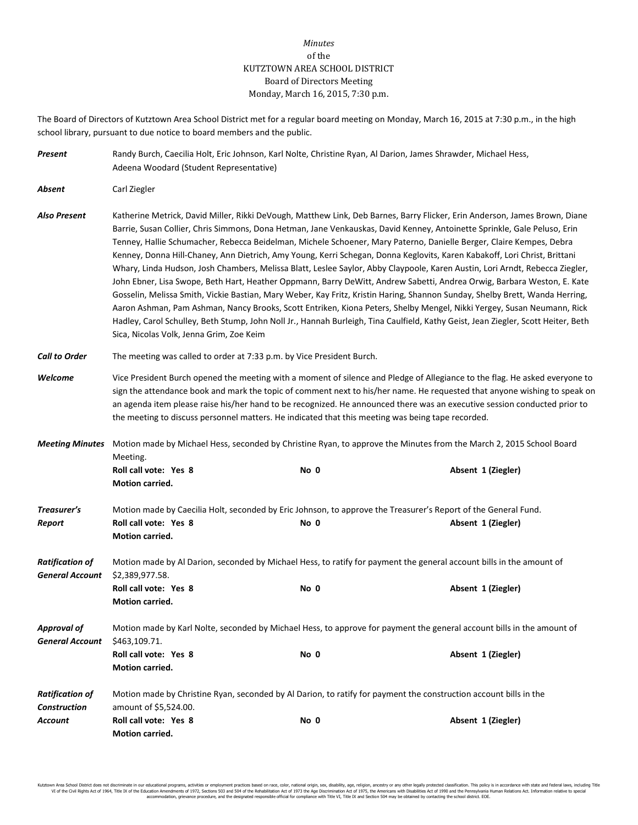## *Minutes* of the KUTZTOWN AREA SCHOOL DISTRICT Board of Directors Meeting Monday, March 16, 2015, 7:30 p.m.

The Board of Directors of Kutztown Area School District met for a regular board meeting on Monday, March 16, 2015 at 7:30 p.m., in the high school library, pursuant to due notice to board members and the public.

| Present                                          | Randy Burch, Caecilia Holt, Eric Johnson, Karl Nolte, Christine Ryan, Al Darion, James Shrawder, Michael Hess,<br>Adeena Woodard (Student Representative)                                                                                                                                                                                                                                                                                                                                                                                                                                                                                                                                                                                                                                                                                                                                                                                                                                                                                                                                                                                                                                                        |      |                                                                                                                                      |  |  |  |  |  |
|--------------------------------------------------|------------------------------------------------------------------------------------------------------------------------------------------------------------------------------------------------------------------------------------------------------------------------------------------------------------------------------------------------------------------------------------------------------------------------------------------------------------------------------------------------------------------------------------------------------------------------------------------------------------------------------------------------------------------------------------------------------------------------------------------------------------------------------------------------------------------------------------------------------------------------------------------------------------------------------------------------------------------------------------------------------------------------------------------------------------------------------------------------------------------------------------------------------------------------------------------------------------------|------|--------------------------------------------------------------------------------------------------------------------------------------|--|--|--|--|--|
| Absent                                           | Carl Ziegler                                                                                                                                                                                                                                                                                                                                                                                                                                                                                                                                                                                                                                                                                                                                                                                                                                                                                                                                                                                                                                                                                                                                                                                                     |      |                                                                                                                                      |  |  |  |  |  |
| <b>Also Present</b>                              | Katherine Metrick, David Miller, Rikki DeVough, Matthew Link, Deb Barnes, Barry Flicker, Erin Anderson, James Brown, Diane<br>Barrie, Susan Collier, Chris Simmons, Dona Hetman, Jane Venkauskas, David Kenney, Antoinette Sprinkle, Gale Peluso, Erin<br>Tenney, Hallie Schumacher, Rebecca Beidelman, Michele Schoener, Mary Paterno, Danielle Berger, Claire Kempes, Debra<br>Kenney, Donna Hill-Chaney, Ann Dietrich, Amy Young, Kerri Schegan, Donna Keglovits, Karen Kabakoff, Lori Christ, Brittani<br>Whary, Linda Hudson, Josh Chambers, Melissa Blatt, Leslee Saylor, Abby Claypoole, Karen Austin, Lori Arndt, Rebecca Ziegler,<br>John Ebner, Lisa Swope, Beth Hart, Heather Oppmann, Barry DeWitt, Andrew Sabetti, Andrea Orwig, Barbara Weston, E. Kate<br>Gosselin, Melissa Smith, Vickie Bastian, Mary Weber, Kay Fritz, Kristin Haring, Shannon Sunday, Shelby Brett, Wanda Herring,<br>Aaron Ashman, Pam Ashman, Nancy Brooks, Scott Entriken, Kiona Peters, Shelby Mengel, Nikki Yergey, Susan Neumann, Rick<br>Hadley, Carol Schulley, Beth Stump, John Noll Jr., Hannah Burleigh, Tina Caulfield, Kathy Geist, Jean Ziegler, Scott Heiter, Beth<br>Sica, Nicolas Volk, Jenna Grim, Zoe Keim |      |                                                                                                                                      |  |  |  |  |  |
| <b>Call to Order</b>                             | The meeting was called to order at 7:33 p.m. by Vice President Burch.                                                                                                                                                                                                                                                                                                                                                                                                                                                                                                                                                                                                                                                                                                                                                                                                                                                                                                                                                                                                                                                                                                                                            |      |                                                                                                                                      |  |  |  |  |  |
| Welcome                                          | Vice President Burch opened the meeting with a moment of silence and Pledge of Allegiance to the flag. He asked everyone to<br>sign the attendance book and mark the topic of comment next to his/her name. He requested that anyone wishing to speak on<br>an agenda item please raise his/her hand to be recognized. He announced there was an executive session conducted prior to<br>the meeting to discuss personnel matters. He indicated that this meeting was being tape recorded.                                                                                                                                                                                                                                                                                                                                                                                                                                                                                                                                                                                                                                                                                                                       |      |                                                                                                                                      |  |  |  |  |  |
| <b>Meeting Minutes</b>                           | Motion made by Michael Hess, seconded by Christine Ryan, to approve the Minutes from the March 2, 2015 School Board<br>Meeting.                                                                                                                                                                                                                                                                                                                                                                                                                                                                                                                                                                                                                                                                                                                                                                                                                                                                                                                                                                                                                                                                                  |      |                                                                                                                                      |  |  |  |  |  |
|                                                  | Roll call vote: Yes 8<br>Motion carried.                                                                                                                                                                                                                                                                                                                                                                                                                                                                                                                                                                                                                                                                                                                                                                                                                                                                                                                                                                                                                                                                                                                                                                         | No 0 | Absent 1 (Ziegler)                                                                                                                   |  |  |  |  |  |
| Treasurer's<br>Report                            | Roll call vote: Yes 8<br>Motion carried.                                                                                                                                                                                                                                                                                                                                                                                                                                                                                                                                                                                                                                                                                                                                                                                                                                                                                                                                                                                                                                                                                                                                                                         | No 0 | Motion made by Caecilia Holt, seconded by Eric Johnson, to approve the Treasurer's Report of the General Fund.<br>Absent 1 (Ziegler) |  |  |  |  |  |
| <b>Ratification of</b><br><b>General Account</b> | Motion made by Al Darion, seconded by Michael Hess, to ratify for payment the general account bills in the amount of<br>\$2,389,977.58.                                                                                                                                                                                                                                                                                                                                                                                                                                                                                                                                                                                                                                                                                                                                                                                                                                                                                                                                                                                                                                                                          |      |                                                                                                                                      |  |  |  |  |  |
|                                                  | Roll call vote: Yes 8<br>Motion carried.                                                                                                                                                                                                                                                                                                                                                                                                                                                                                                                                                                                                                                                                                                                                                                                                                                                                                                                                                                                                                                                                                                                                                                         | No 0 | Absent 1 (Ziegler)                                                                                                                   |  |  |  |  |  |
| <b>Approval of</b><br><b>General Account</b>     | Motion made by Karl Nolte, seconded by Michael Hess, to approve for payment the general account bills in the amount of<br>\$463,109.71.                                                                                                                                                                                                                                                                                                                                                                                                                                                                                                                                                                                                                                                                                                                                                                                                                                                                                                                                                                                                                                                                          |      |                                                                                                                                      |  |  |  |  |  |
|                                                  | Roll call vote: Yes 8<br>Motion carried.                                                                                                                                                                                                                                                                                                                                                                                                                                                                                                                                                                                                                                                                                                                                                                                                                                                                                                                                                                                                                                                                                                                                                                         | No 0 | Absent 1 (Ziegler)                                                                                                                   |  |  |  |  |  |
| <b>Ratification of</b><br><b>Construction</b>    | Motion made by Christine Ryan, seconded by Al Darion, to ratify for payment the construction account bills in the<br>amount of \$5,524.00.                                                                                                                                                                                                                                                                                                                                                                                                                                                                                                                                                                                                                                                                                                                                                                                                                                                                                                                                                                                                                                                                       |      |                                                                                                                                      |  |  |  |  |  |
| Account                                          | Roll call vote: Yes 8<br>Motion carried.                                                                                                                                                                                                                                                                                                                                                                                                                                                                                                                                                                                                                                                                                                                                                                                                                                                                                                                                                                                                                                                                                                                                                                         | No 0 | Absent 1 (Ziegler)                                                                                                                   |  |  |  |  |  |

Kutztown Area School District does not discriminate in our educational programs, activities or employment practices based on race, color, national origin, sex, disability, age, religion, ancestry or any other legally prot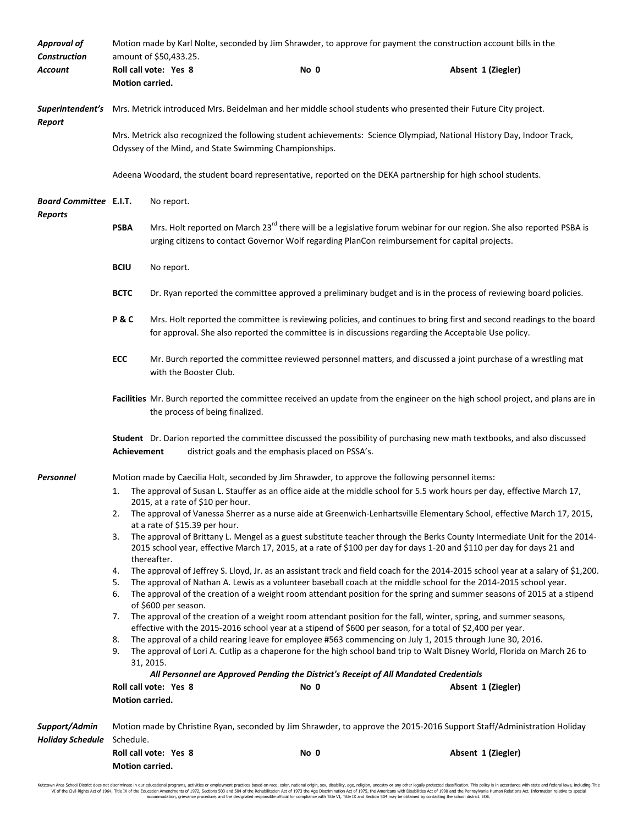| <b>Approval of</b><br><b>Construction</b>       | Motion made by Karl Nolte, seconded by Jim Shrawder, to approve for payment the construction account bills in the<br>amount of \$50,433.25.                                                                                                                                                                                                                                                                                                                                                                                       |                                                                                                                                                                                                                                    |                                                   |                                                                                                                          |  |  |  |
|-------------------------------------------------|-----------------------------------------------------------------------------------------------------------------------------------------------------------------------------------------------------------------------------------------------------------------------------------------------------------------------------------------------------------------------------------------------------------------------------------------------------------------------------------------------------------------------------------|------------------------------------------------------------------------------------------------------------------------------------------------------------------------------------------------------------------------------------|---------------------------------------------------|--------------------------------------------------------------------------------------------------------------------------|--|--|--|
| Account                                         |                                                                                                                                                                                                                                                                                                                                                                                                                                                                                                                                   | Roll call vote: Yes 8                                                                                                                                                                                                              | No 0                                              | Absent 1 (Ziegler)                                                                                                       |  |  |  |
|                                                 | Motion carried.                                                                                                                                                                                                                                                                                                                                                                                                                                                                                                                   |                                                                                                                                                                                                                                    |                                                   |                                                                                                                          |  |  |  |
| Report                                          | Superintendent's Mrs. Metrick introduced Mrs. Beidelman and her middle school students who presented their Future City project.                                                                                                                                                                                                                                                                                                                                                                                                   |                                                                                                                                                                                                                                    |                                                   |                                                                                                                          |  |  |  |
|                                                 | Mrs. Metrick also recognized the following student achievements: Science Olympiad, National History Day, Indoor Track,<br>Odyssey of the Mind, and State Swimming Championships.                                                                                                                                                                                                                                                                                                                                                  |                                                                                                                                                                                                                                    |                                                   |                                                                                                                          |  |  |  |
|                                                 | Adeena Woodard, the student board representative, reported on the DEKA partnership for high school students.                                                                                                                                                                                                                                                                                                                                                                                                                      |                                                                                                                                                                                                                                    |                                                   |                                                                                                                          |  |  |  |
| <b>Board Committee E.I.T.</b><br><b>Reports</b> |                                                                                                                                                                                                                                                                                                                                                                                                                                                                                                                                   | No report.                                                                                                                                                                                                                         |                                                   |                                                                                                                          |  |  |  |
|                                                 | <b>PSBA</b>                                                                                                                                                                                                                                                                                                                                                                                                                                                                                                                       | Mrs. Holt reported on March 23 <sup>rd</sup> there will be a legislative forum webinar for our region. She also reported PSBA is<br>urging citizens to contact Governor Wolf regarding PlanCon reimbursement for capital projects. |                                                   |                                                                                                                          |  |  |  |
|                                                 | <b>BCIU</b>                                                                                                                                                                                                                                                                                                                                                                                                                                                                                                                       | No report.                                                                                                                                                                                                                         |                                                   |                                                                                                                          |  |  |  |
|                                                 | <b>BCTC</b><br>Dr. Ryan reported the committee approved a preliminary budget and is in the process of reviewing board policies.                                                                                                                                                                                                                                                                                                                                                                                                   |                                                                                                                                                                                                                                    |                                                   |                                                                                                                          |  |  |  |
|                                                 | Mrs. Holt reported the committee is reviewing policies, and continues to bring first and second readings to the board<br>P&C<br>for approval. She also reported the committee is in discussions regarding the Acceptable Use policy.                                                                                                                                                                                                                                                                                              |                                                                                                                                                                                                                                    |                                                   |                                                                                                                          |  |  |  |
|                                                 | ECC<br>Mr. Burch reported the committee reviewed personnel matters, and discussed a joint purchase of a wrestling mat<br>with the Booster Club.                                                                                                                                                                                                                                                                                                                                                                                   |                                                                                                                                                                                                                                    |                                                   |                                                                                                                          |  |  |  |
|                                                 | Facilities Mr. Burch reported the committee received an update from the engineer on the high school project, and plans are in<br>the process of being finalized.                                                                                                                                                                                                                                                                                                                                                                  |                                                                                                                                                                                                                                    |                                                   |                                                                                                                          |  |  |  |
|                                                 | Achievement                                                                                                                                                                                                                                                                                                                                                                                                                                                                                                                       |                                                                                                                                                                                                                                    | district goals and the emphasis placed on PSSA's. | Student Dr. Darion reported the committee discussed the possibility of purchasing new math textbooks, and also discussed |  |  |  |
| <b>Personnel</b>                                | Motion made by Caecilia Holt, seconded by Jim Shrawder, to approve the following personnel items:                                                                                                                                                                                                                                                                                                                                                                                                                                 |                                                                                                                                                                                                                                    |                                                   |                                                                                                                          |  |  |  |
|                                                 | The approval of Susan L. Stauffer as an office aide at the middle school for 5.5 work hours per day, effective March 17,<br>1.                                                                                                                                                                                                                                                                                                                                                                                                    |                                                                                                                                                                                                                                    |                                                   |                                                                                                                          |  |  |  |
|                                                 | 2.                                                                                                                                                                                                                                                                                                                                                                                                                                                                                                                                | 2015, at a rate of \$10 per hour.<br>at a rate of \$15.39 per hour.                                                                                                                                                                |                                                   | The approval of Vanessa Sherrer as a nurse aide at Greenwich-Lenhartsville Elementary School, effective March 17, 2015,  |  |  |  |
|                                                 | The approval of Brittany L. Mengel as a guest substitute teacher through the Berks County Intermediate Unit for the 2014-<br>3.<br>2015 school year, effective March 17, 2015, at a rate of \$100 per day for days 1-20 and \$110 per day for days 21 and<br>thereafter.                                                                                                                                                                                                                                                          |                                                                                                                                                                                                                                    |                                                   |                                                                                                                          |  |  |  |
|                                                 | The approval of Jeffrey S. Lloyd, Jr. as an assistant track and field coach for the 2014-2015 school year at a salary of \$1,200.<br>4.<br>The approval of Nathan A. Lewis as a volunteer baseball coach at the middle school for the 2014-2015 school year.<br>5.<br>The approval of the creation of a weight room attendant position for the spring and summer seasons of 2015 at a stipend<br>6.                                                                                                                               |                                                                                                                                                                                                                                    |                                                   |                                                                                                                          |  |  |  |
|                                                 | of \$600 per season.<br>The approval of the creation of a weight room attendant position for the fall, winter, spring, and summer seasons,<br>7.<br>effective with the 2015-2016 school year at a stipend of \$600 per season, for a total of \$2,400 per year.<br>The approval of a child rearing leave for employee #563 commencing on July 1, 2015 through June 30, 2016.<br>8.<br>The approval of Lori A. Cutlip as a chaperone for the high school band trip to Walt Disney World, Florida on March 26 to<br>9.<br>31, 2015. |                                                                                                                                                                                                                                    |                                                   |                                                                                                                          |  |  |  |
|                                                 | All Personnel are Approved Pending the District's Receipt of All Mandated Credentials                                                                                                                                                                                                                                                                                                                                                                                                                                             |                                                                                                                                                                                                                                    |                                                   |                                                                                                                          |  |  |  |
|                                                 | Motion carried.                                                                                                                                                                                                                                                                                                                                                                                                                                                                                                                   | Roll call vote: Yes 8                                                                                                                                                                                                              | No 0                                              | Absent 1 (Ziegler)                                                                                                       |  |  |  |
|                                                 |                                                                                                                                                                                                                                                                                                                                                                                                                                                                                                                                   |                                                                                                                                                                                                                                    |                                                   |                                                                                                                          |  |  |  |
| Support/Admin                                   | Motion made by Christine Ryan, seconded by Jim Shrawder, to approve the 2015-2016 Support Staff/Administration Holiday<br>Schedule.                                                                                                                                                                                                                                                                                                                                                                                               |                                                                                                                                                                                                                                    |                                                   |                                                                                                                          |  |  |  |
| <b>Holiday Schedule</b>                         |                                                                                                                                                                                                                                                                                                                                                                                                                                                                                                                                   | Roll call vote: Yes 8                                                                                                                                                                                                              | No 0                                              | Absent 1 (Ziegler)                                                                                                       |  |  |  |
|                                                 | Motion carried.                                                                                                                                                                                                                                                                                                                                                                                                                                                                                                                   |                                                                                                                                                                                                                                    |                                                   |                                                                                                                          |  |  |  |

Kutztown Area School District does not discriminate in our educational programs, activities or employment practices based on race, color, national origin, sex, disability, age, religion, ancestry or any other legally prot